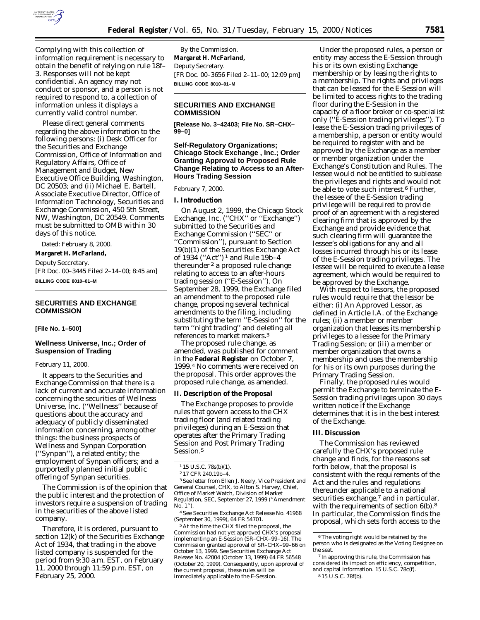

Complying with this collection of information requirement is necessary to obtain the benefit of relying on rule 18f– 3. Responses will not be kept confidential. An agency may not conduct or sponsor, and a person is not required to respond to, a collection of information unless it displays a currently valid control number.

Please direct general comments regarding the above information to the following persons: (i) Desk Officer for the Securities and Exchange Commission, Office of Information and Regulatory Affairs, Office of Management and Budget, New Executive Office Building, Washington, DC 20503; and (ii) Michael E. Bartell, Associate Executive Director, Office of Information Technology, Securities and Exchange Commission, 450 5th Street, NW, Washington, DC 20549. Comments must be submitted to OMB within 30 days of this notice.

Dated: February 8, 2000.

**Margaret H. McFarland,** *Deputy Seccretary.* [FR Doc. 00–3445 Filed 2–14–00; 8:45 am] **BILLING CODE 8010–01–M**

## **SECURITIES AND EXCHANGE COMMISSION**

### **[File No. 1–500]**

# **Wellness Universe, Inc.; Order of Suspension of Trading**

#### February 11, 2000.

It appears to the Securities and Exchange Commission that there is a lack of current and accurate information concerning the securities of Wellness Universe, Inc. (''Wellness'' because of questions about the accuracy and adequacy of publicly disseminated information concerning, among other things: the business prospects of Wellness and Synpan Corporation (''Synpan''), a related entity; the employment of Synpan officers; and a purportedly planned initial public offering of Synpan securities.

The Commission is of the opinion that the public interest and the protection of investors require a suspension of trading in the securities of the above listed company.

Therefore, it is ordered, pursuant to section 12(k) of the Securities Exchange Act of 1934, that trading in the above listed company is suspended for the period from 9:30 a.m. EST, on February 11, 2000 through 11:59 p.m. EST, on February 25, 2000.

By the Commission. **Margaret H. McFarland,** *Deputy Secretary.* [FR Doc. 00–3656 Filed 2–11–00; 12:09 pm] **BILLING CODE 8010–01–M**

## **SECURITIES AND EXCHANGE COMMISSION**

**[Release No. 3–42403; File No. SR–CHX– 99–0]**

# **Self-Regulatory Organizations; Chicago Stock Exchange , Inc.; Order Granting Approval to Proposed Rule Change Relating to Access to an After-Hours Trading Session**

### February 7, 2000.

# **I. Introduction**

On August 2, 1999, the Chicago Stock Exchange, Inc. (''CHX'' or ''Exchange'') submitted to the Securities and Exchange Commission (''SEC'' or ''Commission''), pursuant to Section 19(b)(1) of the Securities Exchange Act of 1934 (''Act'') 1 and Rule 19b–4 thereunder 2 a proposed rule change relating to access to an after-hours trading session (''E-Session''). On September 28, 1999, the Exchange filed an amendment to the proposed rule change, proposing several technical amendments to the filing, including substituting the term ''E-Session'' for the term ''night trading'' and deleting all references to market makers.3

The proposed rule change, as amended, was published for comment in the **Federal Register** on October 7, 1999.4 No comments were received on the proposal. This order approves the proposed rule change, as amended.

#### **II. Description of the Proposal**

The Exchange proposes to provide rules that govern access to the CHX trading floor (and related trading privileges) during an E-Session that operates after the Primary Trading Session and Post Primary Trading Session.<sup>5</sup>

3*See* letter from Ellen J. Neely, Vice President and General Counsel, CHX, to Alton S. Harvey, Chief, Office of Market Watch, Division of Market Regulation, SEC, September 27, 1999 (''Amendment No. 1'').

4*See* Securities Exchange Act Release No. 41968 (September 30, 1999), 64 FR 54701.

5At the time the CHX filed the proposal, the Commission had not yet approved CHX's proposal implementing an E-Session (SR–CHX–99–16). The Commission granted approval of SR–CHX–99–66 on October 13, 1999. *See* Securities Exchange Act Release No. 42004 (October 13, 1999) 64 FR 56548 (October 20, 1999). Consequently, upon approval of the current proposal, these rules will be immediately applicable to the E-Session.

Under the proposed rules, a person or entity may access the E-Session through his or its own existing Exchange membership or by leasing the rights to a membership. The rights and privileges that can be leased for the E-Session will be limited to access rights to the trading floor during the E-Session in the capacity of a floor broker or co-specialist only (''E-Session trading privileges''). To lease the E-Session trading privileges of a membership, a person or entity would be required to register with and be approved by the Exchange as a member or member organization under the Exchange's Constitution and Rules. The lessee would not be entitled to sublease the privileges and rights and would not be able to vote such interest.6 Further, the lessee of the E-Session trading privilege will be required to provide proof of an agreement with a registered clearing firm that is approved by the Exchange and provide evidence that such clearing firm will guarantee the lessee's obligations for any and all losses incurred through his or its lease of the E-Session trading privileges. The lessee will be required to execute a lease agreement, which would be required to be approved by the Exchange.

With respect to lessors, the proposed rules would require that the lessor be either: (i) An Approved Lessor, as defined in Article I.A. of the Exchange rules; (ii) a member or member organization that leases its membership privileges to a lessee for the Primary Trading Session; or (iii) a member or member organization that owns a membership and uses the membership for his or its own purposes during the Primary Trading Session.

Finally, the proposed rules would permit the Exchange to terminate the E-Session trading privileges upon 30 days written notice if the Exchange determines that it is in the best interest of the Exchange.

### **III. Discussion**

The Commission has reviewed carefully the CHX's proposed rule change and finds, for the reasons set forth below, that the proposal is consistent with the requirements of the Act and the rules and regulations thereunder applicable to a national securities exchange,<sup>7</sup> and in particular, with the requirements of section 6(b).<sup>8</sup> In particular, the Commission finds the proposal, which sets forth access to the

<sup>1</sup> 15 U.S.C. 78s(b)(1).

<sup>2</sup> 17 CFR 240.19b–4.

<sup>6</sup>The voting right would be retained by the person who is designated as the Voting Designee on the seat.

<sup>7</sup> In approving this rule, the Commission has considered its impact on efficiency, competition, and capital information. 15 U.S.C. 78c(f). 8 15 U.S.C. 78f(b).